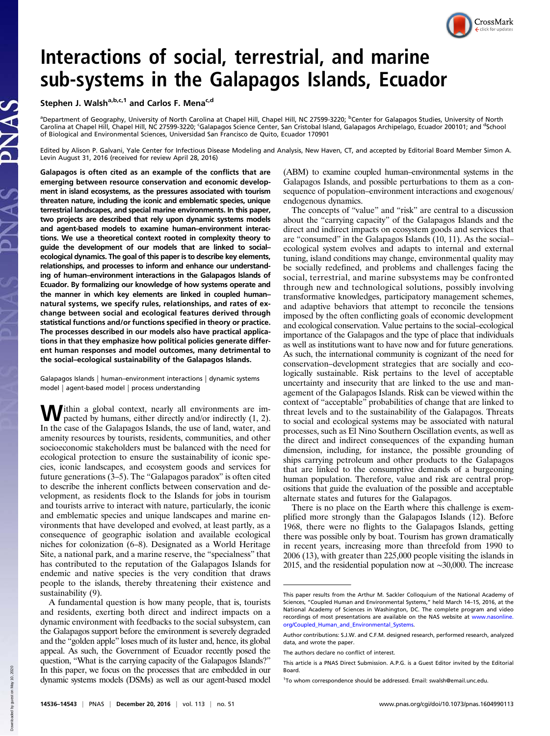

# Interactions of social, terrestrial, and marine sub-systems in the Galapagos Islands, Ecuador

Stephen J. Walsh<sup>a,b,c,1</sup> and Carlos F. Mena<sup>c,d</sup>

<sup>a</sup>Department of Geography, University of North Carolina at Chapel Hill, Chapel Hill, NC 27599-3220; <sup>b</sup>Center for Galapagos Studies, University of North<br>Carolina at Chapel Hill, Chapel Hill, NC 27599-3220; <sup>c</sup>Galapagos Sc of Biological and Environmental Sciences, Universidad San Francisco de Quito, Ecuador 170901

Edited by Alison P. Galvani, Yale Center for Infectious Disease Modeling and Analysis, New Haven, CT, and accepted by Editorial Board Member Simon A. Levin August 31, 2016 (received for review April 28, 2016)

Galapagos is often cited as an example of the conflicts that are emerging between resource conservation and economic development in island ecosystems, as the pressures associated with tourism threaten nature, including the iconic and emblematic species, unique terrestrial landscapes, and special marine environments. In this paper, two projects are described that rely upon dynamic systems models and agent-based models to examine human–environment interactions. We use a theoretical context rooted in complexity theory to guide the development of our models that are linked to social– ecological dynamics. The goal of this paper is to describe key elements, relationships, and processes to inform and enhance our understanding of human–environment interactions in the Galapagos Islands of Ecuador. By formalizing our knowledge of how systems operate and the manner in which key elements are linked in coupled human– natural systems, we specify rules, relationships, and rates of exchange between social and ecological features derived through statistical functions and/or functions specified in theory or practice. The processes described in our models also have practical applications in that they emphasize how political policies generate different human responses and model outcomes, many detrimental to the social–ecological sustainability of the Galapagos Islands.

Galapagos Islands | human–environment interactions | dynamic systems model | agent-based model | process understanding

Within a global context, nearly all environments are im-<br>pacted by humans, either directly and/or indirectly (1, 2). In the case of the Galapagos Islands, the use of land, water, and amenity resources by tourists, residents, communities, and other socioeconomic stakeholders must be balanced with the need for ecological protection to ensure the sustainability of iconic species, iconic landscapes, and ecosystem goods and services for future generations  $(3-5)$ . The "Galapagos paradox" is often cited to describe the inherent conflicts between conservation and development, as residents flock to the Islands for jobs in tourism and tourists arrive to interact with nature, particularly, the iconic and emblematic species and unique landscapes and marine environments that have developed and evolved, at least partly, as a consequence of geographic isolation and available ecological niches for colonization (6–8). Designated as a World Heritage Site, a national park, and a marine reserve, the "specialness" that has contributed to the reputation of the Galapagos Islands for endemic and native species is the very condition that draws people to the islands, thereby threatening their existence and sustainability (9).

A fundamental question is how many people, that is, tourists and residents, exerting both direct and indirect impacts on a dynamic environment with feedbacks to the social subsystem, can the Galapagos support before the environment is severely degraded and the "golden apple" loses much of its luster and, hence, its global appeal. As such, the Government of Ecuador recently posed the question, "What is the carrying capacity of the Galapagos Islands?" In this paper, we focus on the processes that are embedded in our dynamic systems models (DSMs) as well as our agent-based model

(ABM) to examine coupled human–environmental systems in the Galapagos Islands, and possible perturbations to them as a consequence of population–environment interactions and exogenous/ endogenous dynamics.

The concepts of "value" and "risk" are central to a discussion about the "carrying capacity" of the Galapagos Islands and the direct and indirect impacts on ecosystem goods and services that are "consumed" in the Galapagos Islands (10, 11). As the social– ecological system evolves and adapts to internal and external tuning, island conditions may change, environmental quality may be socially redefined, and problems and challenges facing the social, terrestrial, and marine subsystems may be confronted through new and technological solutions, possibly involving transformative knowledges, participatory management schemes, and adaptive behaviors that attempt to reconcile the tensions imposed by the often conflicting goals of economic development and ecological conservation. Value pertains to the social–ecological importance of the Galapagos and the type of place that individuals as well as institutions want to have now and for future generations. As such, the international community is cognizant of the need for conservation–development strategies that are socially and ecologically sustainable. Risk pertains to the level of acceptable uncertainty and insecurity that are linked to the use and management of the Galapagos Islands. Risk can be viewed within the context of "acceptable" probabilities of change that are linked to threat levels and to the sustainability of the Galapagos. Threats to social and ecological systems may be associated with natural processes, such as El Nino Southern Oscillation events, as well as the direct and indirect consequences of the expanding human dimension, including, for instance, the possible grounding of ships carrying petroleum and other products to the Galapagos that are linked to the consumptive demands of a burgeoning human population. Therefore, value and risk are central propositions that guide the evaluation of the possible and acceptable alternate states and futures for the Galapagos.

There is no place on the Earth where this challenge is exemplified more strongly than the Galapagos Islands (12). Before 1968, there were no flights to the Galapagos Islands, getting there was possible only by boat. Tourism has grown dramatically in recent years, increasing more than threefold from 1990 to 2006 (13), with greater than 225,000 people visiting the islands in 2015, and the residential population now at ∼30,000. The increase

This paper results from the Arthur M. Sackler Colloquium of the National Academy of Sciences, "Coupled Human and Environmental Systems," held March 14–15, 2016, at the National Academy of Sciences in Washington, DC. The complete program and video recordings of most presentations are available on the NAS website at [www.nasonline.](http://www.nasonline.org/Coupled_Human_and_Environmental_Systems) [org/Coupled\\_Human\\_and\\_Environmental\\_Systems.](http://www.nasonline.org/Coupled_Human_and_Environmental_Systems)

Author contributions: S.J.W. and C.F.M. designed research, performed research, analyzed data, and wrote the paper.

The authors declare no conflict of interest.

This article is a PNAS Direct Submission. A.P.G. is a Guest Editor invited by the Editorial Board.

<sup>&</sup>lt;sup>1</sup>To whom correspondence should be addressed. Email: [swalsh@email.unc.edu](mailto:swalsh@email.unc.edu).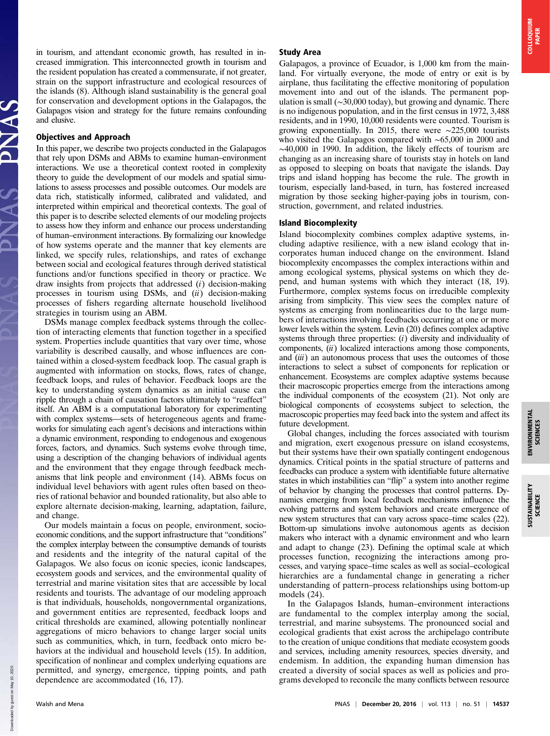in tourism, and attendant economic growth, has resulted in increased immigration. This interconnected growth in tourism and the resident population has created a commensurate, if not greater, strain on the support infrastructure and ecological resources of the islands (8). Although island sustainability is the general goal for conservation and development options in the Galapagos, the Galapagos vision and strategy for the future remains confounding and elusive.

## Objectives and Approach

In this paper, we describe two projects conducted in the Galapagos that rely upon DSMs and ABMs to examine human–environment interactions. We use a theoretical context rooted in complexity theory to guide the development of our models and spatial simulations to assess processes and possible outcomes. Our models are data rich, statistically informed, calibrated and validated, and interpreted within empirical and theoretical contexts. The goal of this paper is to describe selected elements of our modeling projects to assess how they inform and enhance our process understanding of human–environment interactions. By formalizing our knowledge of how systems operate and the manner that key elements are linked, we specify rules, relationships, and rates of exchange between social and ecological features through derived statistical functions and/or functions specified in theory or practice. We draw insights from projects that addressed  $(i)$  decision-making processes in tourism using DSMs, and  $(ii)$  decision-making processes of fishers regarding alternate household livelihood strategies in tourism using an ABM.

DSMs manage complex feedback systems through the collection of interacting elements that function together in a specified system. Properties include quantities that vary over time, whose variability is described causally, and whose influences are contained within a closed-system feedback loop. The casual graph is augmented with information on stocks, flows, rates of change, feedback loops, and rules of behavior. Feedback loops are the key to understanding system dynamics as an initial cause can ripple through a chain of causation factors ultimately to "reaffect" itself. An ABM is a computational laboratory for experimenting with complex systems—sets of heterogeneous agents and frameworks for simulating each agent's decisions and interactions within a dynamic environment, responding to endogenous and exogenous forces, factors, and dynamics. Such systems evolve through time, using a description of the changing behaviors of individual agents and the environment that they engage through feedback mechanisms that link people and environment (14). ABMs focus on individual level behaviors with agent rules often based on theories of rational behavior and bounded rationality, but also able to explore alternate decision-making, learning, adaptation, failure, and change.

Our models maintain a focus on people, environment, socioeconomic conditions, and the support infrastructure that "conditions" the complex interplay between the consumptive demands of tourists and residents and the integrity of the natural capital of the Galapagos. We also focus on iconic species, iconic landscapes, ecosystem goods and services, and the environmental quality of terrestrial and marine visitation sites that are accessible by local residents and tourists. The advantage of our modeling approach is that individuals, households, nongovernmental organizations, and government entities are represented, feedback loops and critical thresholds are examined, allowing potentially nonlinear aggregations of micro behaviors to change larger social units such as communities, which, in turn, feedback onto micro behaviors at the individual and household levels (15). In addition, specification of nonlinear and complex underlying equations are permitted, and synergy, emergence, tipping points, and path dependence are accommodated (16, 17).

### Study Area

Galapagos, a province of Ecuador, is 1,000 km from the mainland. For virtually everyone, the mode of entry or exit is by airplane, thus facilitating the effective monitoring of population movement into and out of the islands. The permanent population is small (∼30,000 today), but growing and dynamic. There is no indigenous population, and in the first census in 1972, 3,488 residents, and in 1990, 10,000 residents were counted. Tourism is growing exponentially. In 2015, there were ∼225,000 tourists who visited the Galapagos compared with ∼65,000 in 2000 and ∼40,000 in 1990. In addition, the likely effects of tourism are changing as an increasing share of tourists stay in hotels on land as opposed to sleeping on boats that navigate the islands. Day trips and island hopping has become the rule. The growth in tourism, especially land-based, in turn, has fostered increased migration by those seeking higher-paying jobs in tourism, construction, government, and related industries.

### Island Biocomplexity

Island biocomplexity combines complex adaptive systems, including adaptive resilience, with a new island ecology that incorporates human induced change on the environment. Island biocomplexity encompasses the complex interactions within and among ecological systems, physical systems on which they depend, and human systems with which they interact (18, 19). Furthermore, complex systems focus on irreducible complexity arising from simplicity. This view sees the complex nature of systems as emerging from nonlinearities due to the large numbers of interactions involving feedbacks occurring at one or more lower levels within the system. Levin (20) defines complex adaptive systems through three properties:  $(i)$  diversity and individuality of components,  $(ii)$  localized interactions among those components, and (iii) an autonomous process that uses the outcomes of those interactions to select a subset of components for replication or enhancement. Ecosystems are complex adaptive systems because their macroscopic properties emerge from the interactions among the individual components of the ecosystem (21). Not only are biological components of ecosystems subject to selection, the macroscopic properties may feed back into the system and affect its future development.

Global changes, including the forces associated with tourism and migration, exert exogenous pressure on island ecosystems, but their systems have their own spatially contingent endogenous dynamics. Critical points in the spatial structure of patterns and feedbacks can produce a system with identifiable future alternative states in which instabilities can "flip" a system into another regime of behavior by changing the processes that control patterns. Dynamics emerging from local feedback mechanisms influence the evolving patterns and system behaviors and create emergence of new system structures that can vary across space–time scales (22). Bottom-up simulations involve autonomous agents as decision makers who interact with a dynamic environment and who learn and adapt to change (23). Defining the optimal scale at which processes function, recognizing the interactions among processes, and varying space–time scales as well as social–ecological hierarchies are a fundamental change in generating a richer understanding of pattern–process relationships using bottom-up models (24).

In the Galapagos Islands, human–environment interactions are fundamental to the complex interplay among the social, terrestrial, and marine subsystems. The pronounced social and ecological gradients that exist across the archipelago contribute to the creation of unique conditions that mediate ecosystem goods and services, including amenity resources, species diversity, and endemism. In addition, the expanding human dimension has created a diversity of social spaces as well as policies and programs developed to reconcile the many conflicts between resource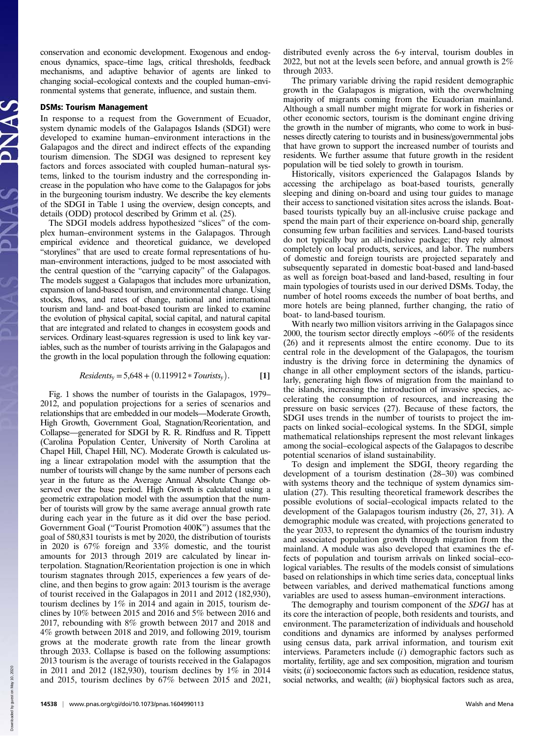conservation and economic development. Exogenous and endogenous dynamics, space–time lags, critical thresholds, feedback mechanisms, and adaptive behavior of agents are linked to changing social–ecological contexts and the coupled human–environmental systems that generate, influence, and sustain them.

#### DSMs: Tourism Management

In response to a request from the Government of Ecuador, system dynamic models of the Galapagos Islands (SDGI) were developed to examine human–environment interactions in the Galapagos and the direct and indirect effects of the expanding tourism dimension. The SDGI was designed to represent key factors and forces associated with coupled human–natural systems, linked to the tourism industry and the corresponding increase in the population who have come to the Galapagos for jobs in the burgeoning tourism industry. We describe the key elements of the SDGI in Table 1 using the overview, design concepts, and details (ODD) protocol described by Grimm et al. (25).

The SDGI models address hypothesized "slices" of the complex human–environment systems in the Galapagos. Through empirical evidence and theoretical guidance, we developed "storylines" that are used to create formal representations of human–environment interactions, judged to be most associated with the central question of the "carrying capacity" of the Galapagos. The models suggest a Galapagos that includes more urbanization, expansion of land-based tourism, and environmental change. Using stocks, flows, and rates of change, national and international tourism and land- and boat-based tourism are linked to examine the evolution of physical capital, social capital, and natural capital that are integrated and related to changes in ecosystem goods and services. Ordinary least-squares regression is used to link key variables, such as the number of tourists arriving in the Galapagos and the growth in the local population through the following equation:

#### $Residents_y = 5,648 + (0.119912 * Tourists_y)$ . [1]

Fig. 1 shows the number of tourists in the Galapagos, 1979– 2012, and population projections for a series of scenarios and relationships that are embedded in our models—Moderate Growth, High Growth, Government Goal, Stagnation/Reorientation, and Collapse—generated for SDGI by R. R. Rindfuss and R. Tippett (Carolina Population Center, University of North Carolina at Chapel Hill, Chapel Hill, NC). Moderate Growth is calculated using a linear extrapolation model with the assumption that the number of tourists will change by the same number of persons each year in the future as the Average Annual Absolute Change observed over the base period. High Growth is calculated using a geometric extrapolation model with the assumption that the number of tourists will grow by the same average annual growth rate during each year in the future as it did over the base period. Government Goal ("Tourist Promotion 400K") assumes that the goal of 580,831 tourists is met by 2020, the distribution of tourists in 2020 is 67% foreign and 33% domestic, and the tourist amounts for 2013 through 2019 are calculated by linear interpolation. Stagnation/Reorientation projection is one in which tourism stagnates through 2015, experiences a few years of decline, and then begins to grow again: 2013 tourism is the average of tourist received in the Galapagos in 2011 and 2012 (182,930), tourism declines by 1% in 2014 and again in 2015, tourism declines by 10% between 2015 and 2016 and 5% between 2016 and 2017, rebounding with 8% growth between 2017 and 2018 and 4% growth between 2018 and 2019, and following 2019, tourism grows at the moderate growth rate from the linear growth through 2033. Collapse is based on the following assumptions: 2013 tourism is the average of tourists received in the Galapagos in 2011 and 2012 (182,930), tourism declines by 1% in 2014 and 2015, tourism declines by 67% between 2015 and 2021,

distributed evenly across the 6-y interval, tourism doubles in 2022, but not at the levels seen before, and annual growth is 2% through 2033.

The primary variable driving the rapid resident demographic growth in the Galapagos is migration, with the overwhelming majority of migrants coming from the Ecuadorian mainland. Although a small number might migrate for work in fisheries or other economic sectors, tourism is the dominant engine driving the growth in the number of migrants, who come to work in businesses directly catering to tourists and in business/governmental jobs that have grown to support the increased number of tourists and residents. We further assume that future growth in the resident population will be tied solely to growth in tourism.

Historically, visitors experienced the Galapagos Islands by accessing the archipelago as boat-based tourists, generally sleeping and dining on-board and using tour guides to manage their access to sanctioned visitation sites across the islands. Boatbased tourists typically buy an all-inclusive cruise package and spend the main part of their experience on-board ship, generally consuming few urban facilities and services. Land-based tourists do not typically buy an all-inclusive package; they rely almost completely on local products, services, and labor. The numbers of domestic and foreign tourists are projected separately and subsequently separated in domestic boat-based and land-based as well as foreign boat-based and land-based, resulting in four main typologies of tourists used in our derived DSMs. Today, the number of hotel rooms exceeds the number of boat berths, and more hotels are being planned, further changing, the ratio of boat- to land-based tourism.

With nearly two million visitors arriving in the Galapagos since 2000, the tourism sector directly employs ∼60% of the residents (26) and it represents almost the entire economy. Due to its central role in the development of the Galapagos, the tourism industry is the driving force in determining the dynamics of change in all other employment sectors of the islands, particularly, generating high flows of migration from the mainland to the islands, increasing the introduction of invasive species, accelerating the consumption of resources, and increasing the pressure on basic services (27). Because of these factors, the SDGI uses trends in the number of tourists to project the impacts on linked social–ecological systems. In the SDGI, simple mathematical relationships represent the most relevant linkages among the social–ecological aspects of the Galapagos to describe potential scenarios of island sustainability.

To design and implement the SDGI, theory regarding the development of a tourism destination (28–30) was combined with systems theory and the technique of system dynamics simulation (27). This resulting theoretical framework describes the possible evolutions of social–ecological impacts related to the development of the Galapagos tourism industry (26, 27, 31). A demographic module was created, with projections generated to the year 2033, to represent the dynamics of the tourism industry and associated population growth through migration from the mainland. A module was also developed that examines the effects of population and tourism arrivals on linked social–ecological variables. The results of the models consist of simulations based on relationships in which time series data, conceptual links between variables, and derived mathematical functions among variables are used to assess human–environment interactions.

The demography and tourism component of the SDGI has at its core the interaction of people, both residents and tourists, and environment. The parameterization of individuals and household conditions and dynamics are informed by analyses performed using census data, park arrival information, and tourism exit interviews. Parameters include (*i*) demographic factors such as mortality, fertility, age and sex composition, migration and tourism visits;  $(ii)$  socioeconomic factors such as education, residence status, social networks, and wealth; (iii) biophysical factors such as area,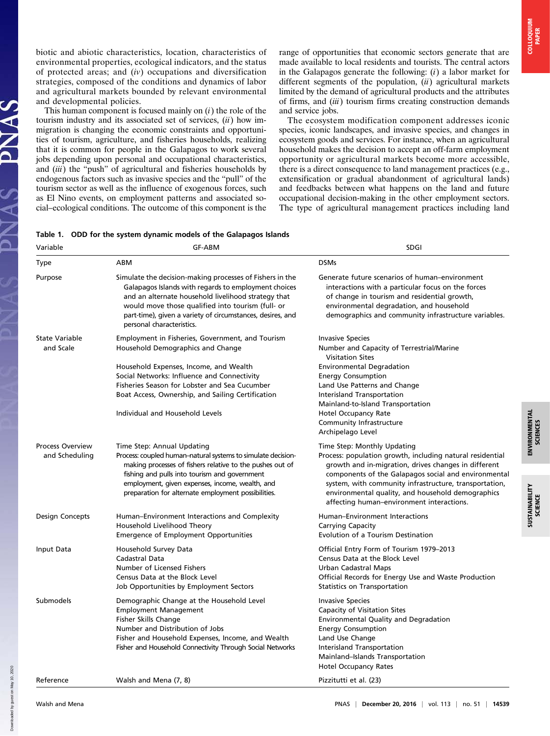biotic and abiotic characteristics, location, characteristics of environmental properties, ecological indicators, and the status of protected areas; and  $(iv)$  occupations and diversification strategies, composed of the conditions and dynamics of labor and agricultural markets bounded by relevant environmental and developmental policies.

This human component is focused mainly on  $(i)$  the role of the tourism industry and its associated set of services,  $(ii)$  how immigration is changing the economic constraints and opportunities of tourism, agriculture, and fisheries households, realizing that it is common for people in the Galapagos to work several jobs depending upon personal and occupational characteristics, and (iii) the "push" of agricultural and fisheries households by endogenous factors such as invasive species and the "pull" of the tourism sector as well as the influence of exogenous forces, such as El Nino events, on employment patterns and associated social–ecological conditions. The outcome of this component is the range of opportunities that economic sectors generate that are made available to local residents and tourists. The central actors in the Galapagos generate the following:  $(i)$  a labor market for different segments of the population,  $(ii)$  agricultural markets limited by the demand of agricultural products and the attributes of firms, and (iii) tourism firms creating construction demands and service jobs.

The ecosystem modification component addresses iconic species, iconic landscapes, and invasive species, and changes in ecosystem goods and services. For instance, when an agricultural household makes the decision to accept an off-farm employment opportunity or agricultural markets become more accessible, there is a direct consequence to land management practices (e.g., extensification or gradual abandonment of agricultural lands) and feedbacks between what happens on the land and future occupational decision-making in the other employment sectors. The type of agricultural management practices including land

| Table 1. ODD for the system dynamic models of the Galapagos Islands |  |  |
|---------------------------------------------------------------------|--|--|
|                                                                     |  |  |

| Variable                                  | <b>GF-ABM</b>                                                                                                                                                                                                                                                                                                           | SDGI                                                                                                                                                                                                                                                                                                                                                                 |  |  |
|-------------------------------------------|-------------------------------------------------------------------------------------------------------------------------------------------------------------------------------------------------------------------------------------------------------------------------------------------------------------------------|----------------------------------------------------------------------------------------------------------------------------------------------------------------------------------------------------------------------------------------------------------------------------------------------------------------------------------------------------------------------|--|--|
| <b>Type</b>                               | ABM                                                                                                                                                                                                                                                                                                                     | <b>DSMs</b>                                                                                                                                                                                                                                                                                                                                                          |  |  |
| Purpose                                   | Simulate the decision-making processes of Fishers in the<br>Galapagos Islands with regards to employment choices<br>and an alternate household livelihood strategy that<br>would move those qualified into tourism (full- or<br>part-time), given a variety of circumstances, desires, and<br>personal characteristics. | Generate future scenarios of human-environment<br>interactions with a particular focus on the forces<br>of change in tourism and residential growth,<br>environmental degradation, and household<br>demographics and community infrastructure variables.                                                                                                             |  |  |
| <b>State Variable</b><br>and Scale        | Employment in Fisheries, Government, and Tourism<br>Household Demographics and Change                                                                                                                                                                                                                                   | <b>Invasive Species</b><br>Number and Capacity of Terrestrial/Marine<br><b>Visitation Sites</b>                                                                                                                                                                                                                                                                      |  |  |
|                                           | Household Expenses, Income, and Wealth<br>Social Networks: Influence and Connectivity<br>Fisheries Season for Lobster and Sea Cucumber<br>Boat Access, Ownership, and Sailing Certification<br>Individual and Household Levels                                                                                          | <b>Environmental Degradation</b><br><b>Energy Consumption</b><br>Land Use Patterns and Change<br>Interisland Transportation<br>Mainland-to-Island Transportation<br>Hotel Occupancy Rate<br>Community Infrastructure<br>Archipelago Level                                                                                                                            |  |  |
| <b>Process Overview</b><br>and Scheduling | Time Step: Annual Updating<br>Process: coupled human-natural systems to simulate decision-<br>making processes of fishers relative to the pushes out of<br>fishing and pulls into tourism and government<br>employment, given expenses, income, wealth, and<br>preparation for alternate employment possibilities.      | Time Step: Monthly Updating<br>Process: population growth, including natural residential<br>growth and in-migration, drives changes in different<br>components of the Galapagos social and environmental<br>system, with community infrastructure, transportation,<br>environmental quality, and household demographics<br>affecting human-environment interactions. |  |  |
| Design Concepts                           | Human-Environment Interactions and Complexity<br>Household Livelihood Theory<br>Emergence of Employment Opportunities                                                                                                                                                                                                   | <b>Human-Environment Interactions</b><br>Carrying Capacity<br>Evolution of a Tourism Destination                                                                                                                                                                                                                                                                     |  |  |
| Input Data                                | Household Survey Data<br>Cadastral Data<br>Number of Licensed Fishers<br>Census Data at the Block Level<br>Job Opportunities by Employment Sectors                                                                                                                                                                      | Official Entry Form of Tourism 1979-2013<br>Census Data at the Block Level<br>Urban Cadastral Maps<br>Official Records for Energy Use and Waste Production<br>Statistics on Transportation                                                                                                                                                                           |  |  |
| Submodels                                 | Demographic Change at the Household Level<br><b>Employment Management</b><br>Fisher Skills Change<br>Number and Distribution of Jobs<br>Fisher and Household Expenses, Income, and Wealth<br>Fisher and Household Connectivity Through Social Networks                                                                  | <b>Invasive Species</b><br>Capacity of Visitation Sites<br>Environmental Quality and Degradation<br><b>Energy Consumption</b><br>Land Use Change<br>Interisland Transportation<br>Mainland-Islands Transportation<br><b>Hotel Occupancy Rates</b>                                                                                                                    |  |  |
| Reference                                 | Walsh and Mena (7, 8)                                                                                                                                                                                                                                                                                                   | Pizzitutti et al. (23)                                                                                                                                                                                                                                                                                                                                               |  |  |

Downloaded by guest on May 10, 2020

Downloaded by guest on May 10.

 $\frac{a}{\lambda}$ 

ENVIRONMENTAL SCIENCES

**ENVIRONMENTAL**<br>SCIENCES

SUSTAINABILITY SUSTAINABILITY<br>SCIENCE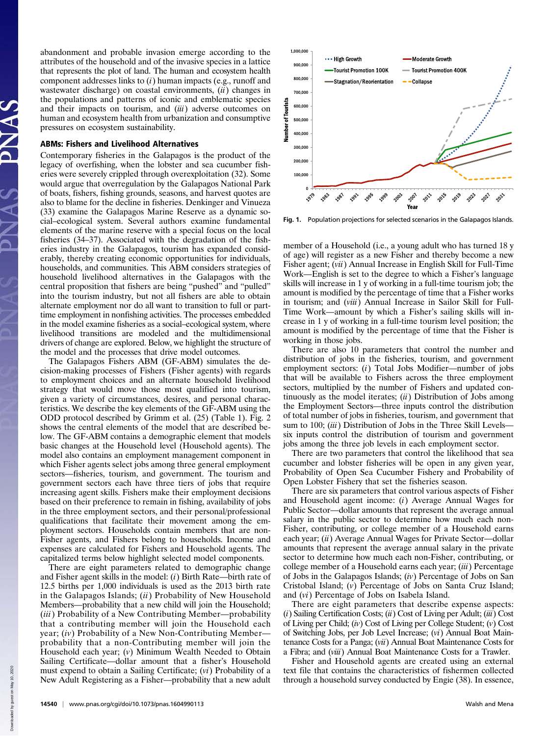abandonment and probable invasion emerge according to the attributes of the household and of the invasive species in a lattice that represents the plot of land. The human and ecosystem health component addresses links to  $(i)$  human impacts (e.g., runoff and wastewater discharge) on coastal environments,  $(ii)$  changes in the populations and patterns of iconic and emblematic species and their impacts on tourism, and (iii) adverse outcomes on human and ecosystem health from urbanization and consumptive pressures on ecosystem sustainability.

#### ABMs: Fishers and Livelihood Alternatives

Contemporary fisheries in the Galapagos is the product of the legacy of overfishing, when the lobster and sea cucumber fisheries were severely crippled through overexploitation (32). Some would argue that overregulation by the Galapagos National Park of boats, fishers, fishing grounds, seasons, and harvest quotes are also to blame for the decline in fisheries. Denkinger and Vinueza (33) examine the Galapagos Marine Reserve as a dynamic social–ecological system. Several authors examine fundamental elements of the marine reserve with a special focus on the local fisheries (34–37). Associated with the degradation of the fisheries industry in the Galapagos, tourism has expanded considerably, thereby creating economic opportunities for individuals, households, and communities. This ABM considers strategies of household livelihood alternatives in the Galapagos with the central proposition that fishers are being "pushed" and "pulled" into the tourism industry, but not all fishers are able to obtain alternate employment nor do all want to transition to full or parttime employment in nonfishing activities. The processes embedded in the model examine fisheries as a social–ecological system, where livelihood transitions are modeled and the multidimensional drivers of change are explored. Below, we highlight the structure of the model and the processes that drive model outcomes.

The Galapagos Fishers ABM (GF-ABM) simulates the decision-making processes of Fishers (Fisher agents) with regards to employment choices and an alternate household livelihood strategy that would move those most qualified into tourism, given a variety of circumstances, desires, and personal characteristics. We describe the key elements of the GF-ABM using the ODD protocol described by Grimm et al. (25) (Table 1). Fig. 2 shows the central elements of the model that are described below. The GF-ABM contains a demographic element that models basic changes at the Household level (Household agents). The model also contains an employment management component in which Fisher agents select jobs among three general employment sectors—fisheries, tourism, and government. The tourism and government sectors each have three tiers of jobs that require increasing agent skills. Fishers make their employment decisions based on their preference to remain in fishing, availability of jobs in the three employment sectors, and their personal/professional qualifications that facilitate their movement among the employment sectors. Households contain members that are non-Fisher agents, and Fishers belong to households. Income and expenses are calculated for Fishers and Household agents. The capitalized terms below highlight selected model components.

There are eight parameters related to demographic change and Fisher agent skills in the model: (i) Birth Rate—birth rate of 12.5 births per 1,000 individuals is used as the 2013 birth rate in the Galapagos Islands;  $(ii)$  Probability of New Household Members—probability that a new child will join the Household; (iii) Probability of a New Contributing Member-probability that a contributing member will join the Household each year; (iv) Probability of a New Non-Contributing Member probability that a non-Contributing member will join the Household each year; (v) Minimum Wealth Needed to Obtain Sailing Certificate—dollar amount that a fisher's Household must expend to obtain a Sailing Certificate; (vi) Probability of a New Adult Registering as a Fisher—probability that a new adult



Fig. 1. Population projections for selected scenarios in the Galapagos Islands.

member of a Household (i.e., a young adult who has turned 18 y of age) will register as a new Fisher and thereby become a new Fisher agent; (vii) Annual Increase in English Skill for Full-Time Work—English is set to the degree to which a Fisher's language skills will increase in 1 y of working in a full-time tourism job; the amount is modified by the percentage of time that a Fisher works in tourism; and (viii) Annual Increase in Sailor Skill for Full-Time Work—amount by which a Fisher's sailing skills will increase in 1 y of working in a full-time tourism level position; the amount is modified by the percentage of time that the Fisher is working in those jobs.

There are also 10 parameters that control the number and distribution of jobs in the fisheries, tourism, and government employment sectors: (i) Total Jobs Modifier—number of jobs that will be available to Fishers across the three employment sectors, multiplied by the number of Fishers and updated continuously as the model iterates;  $(ii)$  Distribution of Jobs among the Employment Sectors—three inputs control the distribution of total number of jobs in fisheries, tourism, and government that sum to 100; *(iii)* Distribution of Jobs in the Three Skill Levels six inputs control the distribution of tourism and government jobs among the three job levels in each employment sector.

There are two parameters that control the likelihood that sea cucumber and lobster fisheries will be open in any given year, Probability of Open Sea Cucumber Fishery and Probability of Open Lobster Fishery that set the fisheries season.

There are six parameters that control various aspects of Fisher and Household agent income: (i) Average Annual Wages for Public Sector—dollar amounts that represent the average annual salary in the public sector to determine how much each non-Fisher, contributing, or college member of a Household earns each year; *(ii)* Average Annual Wages for Private Sector—dollar amounts that represent the average annual salary in the private sector to determine how much each non-Fisher, contributing, or college member of a Household earns each year; (iii) Percentage of Jobs in the Galapagos Islands;  $(iv)$  Percentage of Jobs on San Cristobal Island; (v) Percentage of Jobs on Santa Cruz Island; and (vi) Percentage of Jobs on Isabela Island.

There are eight parameters that describe expense aspects:  $(i)$  Sailing Certification Costs;  $(ii)$  Cost of Living per Adult;  $(iii)$  Cost of Living per Child; (iv) Cost of Living per College Student; (v) Cost of Switching Jobs, per Job Level Increase; (vi) Annual Boat Maintenance Costs for a Panga; (vii) Annual Boat Maintenance Costs for a Fibra; and (viii) Annual Boat Maintenance Costs for a Trawler.

Fisher and Household agents are created using an external text file that contains the characteristics of fishermen collected through a household survey conducted by Engie (38). In essence,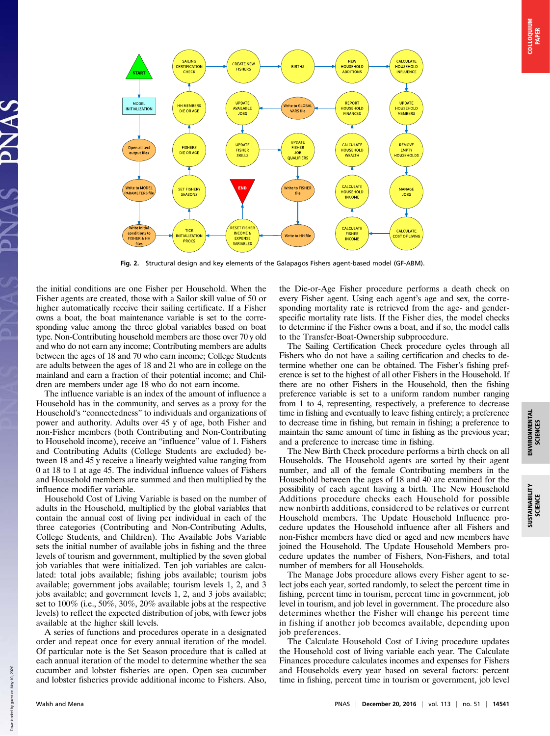

Fig. 2. Structural design and key elements of the Galapagos Fishers agent-based model (GF-ABM).

the initial conditions are one Fisher per Household. When the Fisher agents are created, those with a Sailor skill value of 50 or higher automatically receive their sailing certificate. If a Fisher owns a boat, the boat maintenance variable is set to the corresponding value among the three global variables based on boat type. Non-Contributing household members are those over 70 y old and who do not earn any income; Contributing members are adults between the ages of 18 and 70 who earn income; College Students are adults between the ages of 18 and 21 who are in college on the mainland and earn a fraction of their potential income; and Children are members under age 18 who do not earn income.

The influence variable is an index of the amount of influence a Household has in the community, and serves as a proxy for the Household's "connectedness" to individuals and organizations of power and authority. Adults over 45 y of age, both Fisher and non-Fisher members (both Contributing and Non-Contributing to Household income), receive an "influence" value of 1. Fishers and Contributing Adults (College Students are excluded) between 18 and 45 y receive a linearly weighted value ranging from 0 at 18 to 1 at age 45. The individual influence values of Fishers and Household members are summed and then multiplied by the influence modifier variable.

Household Cost of Living Variable is based on the number of adults in the Household, multiplied by the global variables that contain the annual cost of living per individual in each of the three categories (Contributing and Non-Contributing Adults, College Students, and Children). The Available Jobs Variable sets the initial number of available jobs in fishing and the three levels of tourism and government, multiplied by the seven global job variables that were initialized. Ten job variables are calculated: total jobs available; fishing jobs available; tourism jobs available; government jobs available; tourism levels 1, 2, and 3 jobs available; and government levels 1, 2, and 3 jobs available; set to 100% (i.e., 50%, 30%, 20% available jobs at the respective levels) to reflect the expected distribution of jobs, with fewer jobs available at the higher skill levels.

A series of functions and procedures operate in a designated order and repeat once for every annual iteration of the model. Of particular note is the Set Season procedure that is called at each annual iteration of the model to determine whether the sea cucumber and lobster fisheries are open. Open sea cucumber and lobster fisheries provide additional income to Fishers. Also,

the Die-or-Age Fisher procedure performs a death check on every Fisher agent. Using each agent's age and sex, the corresponding mortality rate is retrieved from the age- and genderspecific mortality rate lists. If the Fisher dies, the model checks to determine if the Fisher owns a boat, and if so, the model calls to the Transfer-Boat-Ownership subprocedure.

The Sailing Certification Check procedure cycles through all Fishers who do not have a sailing certification and checks to determine whether one can be obtained. The Fisher's fishing preference is set to the highest of all other Fishers in the Household. If there are no other Fishers in the Household, then the fishing preference variable is set to a uniform random number ranging from 1 to 4, representing, respectively, a preference to decrease time in fishing and eventually to leave fishing entirely; a preference to decrease time in fishing, but remain in fishing; a preference to maintain the same amount of time in fishing as the previous year; and a preference to increase time in fishing.

The New Birth Check procedure performs a birth check on all Households. The Household agents are sorted by their agent number, and all of the female Contributing members in the Household between the ages of 18 and 40 are examined for the possibility of each agent having a birth. The New Household Additions procedure checks each Household for possible new nonbirth additions, considered to be relatives or current Household members. The Update Household Influence procedure updates the Household influence after all Fishers and non-Fisher members have died or aged and new members have joined the Household. The Update Household Members procedure updates the number of Fishers, Non-Fishers, and total number of members for all Households.

The Manage Jobs procedure allows every Fisher agent to select jobs each year, sorted randomly, to select the percent time in fishing, percent time in tourism, percent time in government, job level in tourism, and job level in government. The procedure also determines whether the Fisher will change his percent time in fishing if another job becomes available, depending upon job preferences.

The Calculate Household Cost of Living procedure updates the Household cost of living variable each year. The Calculate Finances procedure calculates incomes and expenses for Fishers and Households every year based on several factors: percent time in fishing, percent time in tourism or government, job level

Down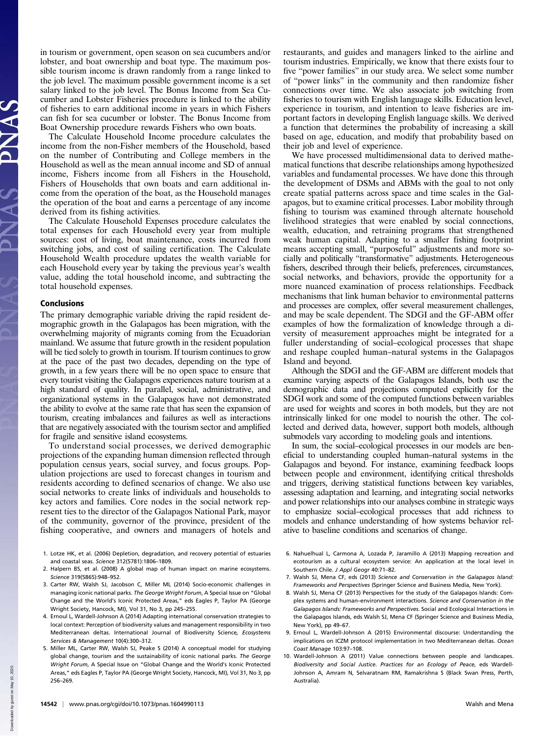in tourism or government, open season on sea cucumbers and/or lobster, and boat ownership and boat type. The maximum possible tourism income is drawn randomly from a range linked to the job level. The maximum possible government income is a set salary linked to the job level. The Bonus Income from Sea Cucumber and Lobster Fisheries procedure is linked to the ability of fisheries to earn additional income in years in which Fishers can fish for sea cucumber or lobster. The Bonus Income from Boat Ownership procedure rewards Fishers who own boats.

The Calculate Household Income procedure calculates the income from the non-Fisher members of the Household, based on the number of Contributing and College members in the Household as well as the mean annual income and SD of annual income, Fishers income from all Fishers in the Household, Fishers of Households that own boats and earn additional income from the operation of the boat, as the Household manages the operation of the boat and earns a percentage of any income derived from its fishing activities.

The Calculate Household Expenses procedure calculates the total expenses for each Household every year from multiple sources: cost of living, boat maintenance, costs incurred from switching jobs, and cost of sailing certification. The Calculate Household Wealth procedure updates the wealth variable for each Household every year by taking the previous year's wealth value, adding the total household income, and subtracting the total household expenses.

#### Conclusions

The primary demographic variable driving the rapid resident demographic growth in the Galapagos has been migration, with the overwhelming majority of migrants coming from the Ecuadorian mainland. We assume that future growth in the resident population will be tied solely to growth in tourism. If tourism continues to grow at the pace of the past two decades, depending on the type of growth, in a few years there will be no open space to ensure that every tourist visiting the Galapagos experiences nature tourism at a high standard of quality. In parallel, social, administrative, and organizational systems in the Galapagos have not demonstrated the ability to evolve at the same rate that has seen the expansion of tourism, creating imbalances and failures as well as interactions that are negatively associated with the tourism sector and amplified for fragile and sensitive island ecosystems.

To understand social processes, we derived demographic projections of the expanding human dimension reflected through population census years, social survey, and focus groups. Population projections are used to forecast changes in tourism and residents according to defined scenarios of change. We also use social networks to create links of individuals and households to key actors and families. Core nodes in the social network represent ties to the director of the Galapagos National Park, mayor of the community, governor of the province, president of the fishing cooperative, and owners and managers of hotels and

- 1. Lotze HK, et al. (2006) Depletion, degradation, and recovery potential of estuaries and coastal seas. Science 312(5781):1806–1809.
- 2. Halpern BS, et al. (2008) A global map of human impact on marine ecosystems. Science 319(5865):948–952.
- 3. Carter RW, Walsh SJ, Jacobson C, Miller ML (2014) Socio-economic challenges in managing iconic national parks. The George Wright Forum, A Special Issue on "Global Change and the World's Iconic Protected Areas," eds Eagles P, Taylor PA (George Wright Society, Hancock, MI), Vol 31, No 3, pp 245–255.
- 4. Ernoul L, Wardell-Johnson A (2014) Adapting international conservation strategies to local context: Perception of biodiversity values and management responsibility in two Mediterranean deltas. International Journal of Biodiversity Science, Ecosystems Services & Management 10(4):300–312.
- 5. Miller ML, Carter RW, Walsh SJ, Peake S (2014) A conceptual model for studying global change, tourism and the sustainability of iconic national parks. The George Wright Forum, A Special Issue on "Global Change and the World's Iconic Protected Areas," eds Eagles P, Taylor PA (George Wright Society, Hancock, MI), Vol 31, No 3, pp 256–269.

restaurants, and guides and managers linked to the airline and tourism industries. Empirically, we know that there exists four to five "power families" in our study area. We select some number of "power links" in the community and then randomize fisher connections over time. We also associate job switching from fisheries to tourism with English language skills. Education level, experience in tourism, and intention to leave fisheries are important factors in developing English language skills. We derived a function that determines the probability of increasing a skill based on age, education, and modify that probability based on their job and level of experience.

We have processed multidimensional data to derived mathematical functions that describe relationships among hypothesized variables and fundamental processes. We have done this through the development of DSMs and ABMs with the goal to not only create spatial patterns across space and time scales in the Galapagos, but to examine critical processes. Labor mobility through fishing to tourism was examined through alternate household livelihood strategies that were enabled by social connections, wealth, education, and retraining programs that strengthened weak human capital. Adapting to a smaller fishing footprint means accepting small, "purposeful" adjustments and more socially and politically "transformative" adjustments. Heterogeneous fishers, described through their beliefs, preferences, circumstances, social networks, and behaviors, provide the opportunity for a more nuanced examination of process relationships. Feedback mechanisms that link human behavior to environmental patterns and processes are complex, offer several measurement challenges, and may be scale dependent. The SDGI and the GF-ABM offer examples of how the formalization of knowledge through a diversity of measurement approaches might be integrated for a fuller understanding of social–ecological processes that shape and reshape coupled human–natural systems in the Galapagos Island and beyond.

Although the SDGI and the GF-ABM are different models that examine varying aspects of the Galapagos Islands, both use the demographic data and projections computed explicitly for the SDGI work and some of the computed functions between variables are used for weights and scores in both models, but they are not intrinsically linked for one model to nourish the other. The collected and derived data, however, support both models, although submodels vary according to modeling goals and intentions.

In sum, the social–ecological processes in our models are beneficial to understanding coupled human–natural systems in the Galapagos and beyond. For instance, examining feedback loops between people and environment, identifying critical thresholds and triggers, deriving statistical functions between key variables, assessing adaptation and learning, and integrating social networks and power relationships into our analyses combine in strategic ways to emphasize social–ecological processes that add richness to models and enhance understanding of how systems behavior relative to baseline conditions and scenarios of change.

- 6. Nahuelhual L, Carmona A, Lozada P, Jaramillo A (2013) Mapping recreation and ecotourism as a cultural ecosystem service: An application at the local level in Southern Chile. J Appl Geogr 40:71–82.
- 7. Walsh SJ, Mena CF, eds (2013) Science and Conservation in the Galapagos Island: Frameworks and Perspectives (Springer Science and Business Media, New York).
- 8. Walsh SJ, Mena CF (2013) Perspectives for the study of the Galapagos Islands: Complex systems and human–environment interactions. Science and Conservation in the Galapagos Islands: Frameworks and Perspectives. Social and Ecological Interactions in the Galapagos Islands, eds Walsh SJ, Mena CF (Springer Science and Business Media, New York), pp 49–67.
- 9. Ernoul L, Wardell-Johnson A (2015) Environmental discourse: Understanding the implications on ICZM protocol implementation in two Mediterranean deltas. Ocean Coast Manage 103:97–108.
- 10. Wardell-Johnson A (2011) Value connections between people and landscapes. Biodiversity and Social Justice. Practices for an Ecology of Peace, eds Wardell-Johnson A, Amram N, Selvaratnam RM, Ramakrishna S (Black Swan Press, Perth, Australia).